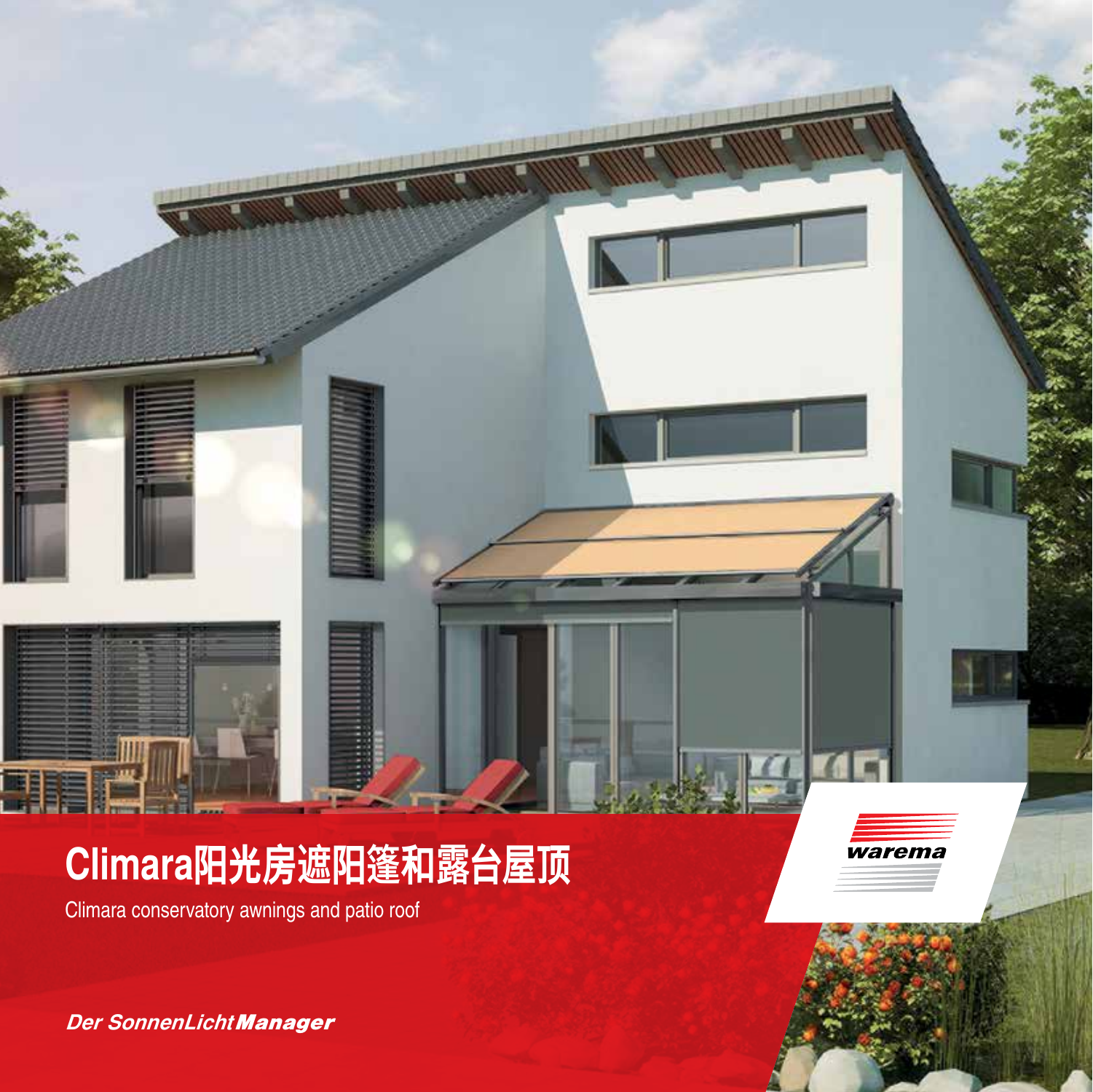# **Climara阳光房遮阳篷和露台屋顶**

Climara conservatory awnings and patio roof

*Der SonnenLicht Manager*

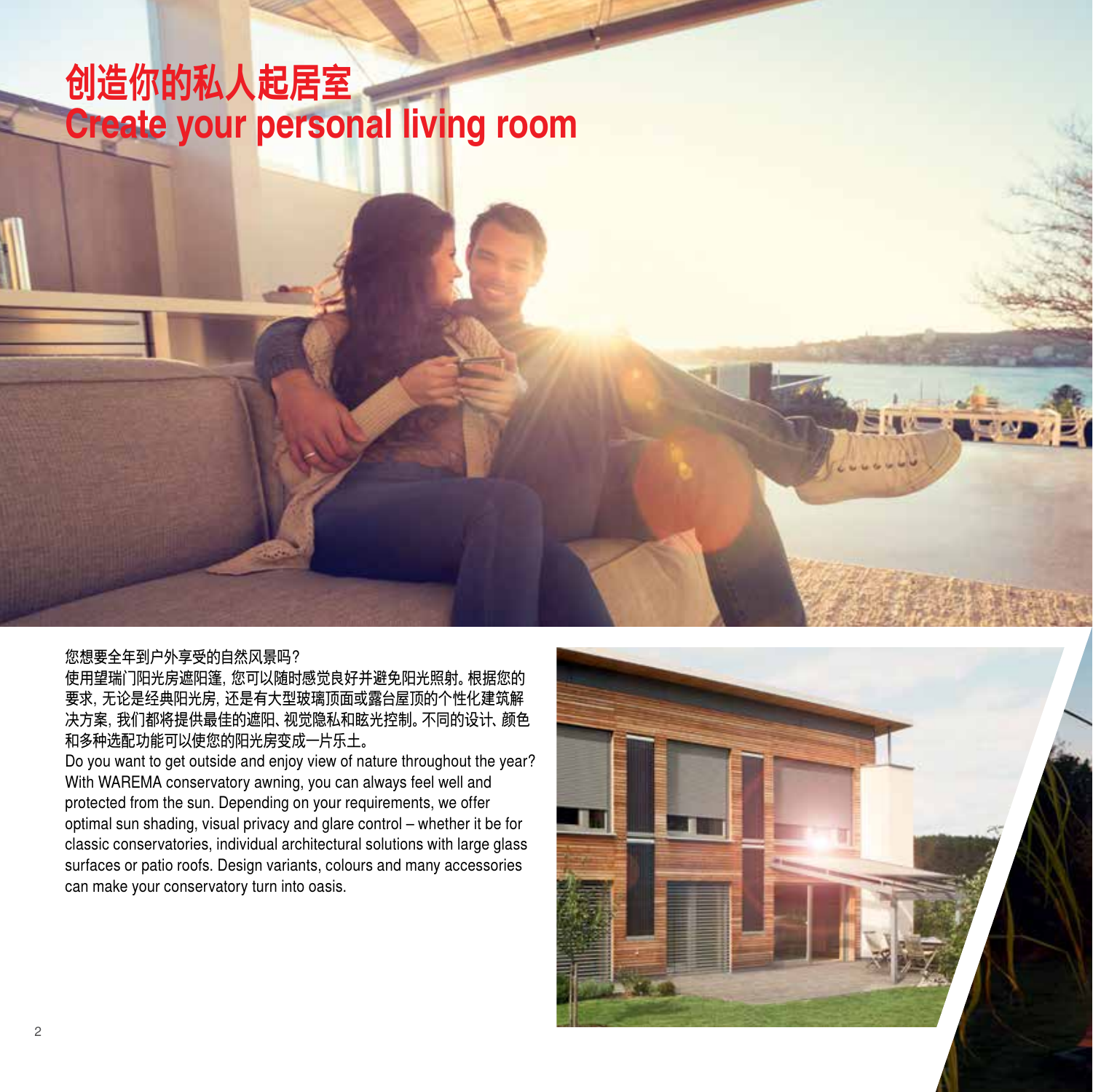## **创造你的私人起居室 Create your personal living room**

#### 您想要全年到户外享受的自然风景吗?

使用望瑞门阳光房遮阳篷,您可以随时感觉良好并避免阳光照射。根据您的 要求,无论是经典阳光房,还是有大型玻璃顶面或露台屋顶的个性化建筑解 决方案,我们都将提供最佳的遮阳、视觉隐私和眩光控制。不同的设计、颜色 和多种选配功能可以使您的阳光房变成一片乐土。

Do you want to get outside and enjoy view of nature throughout the year? With WAREMA conservatory awning, you can always feel well and protected from the sun. Depending on your requirements, we offer optimal sun shading, visual privacy and glare control – whether it be for classic conservatories, individual architectural solutions with large glass surfaces or patio roofs. Design variants, colours and many accessories can make your conservatory turn into oasis.

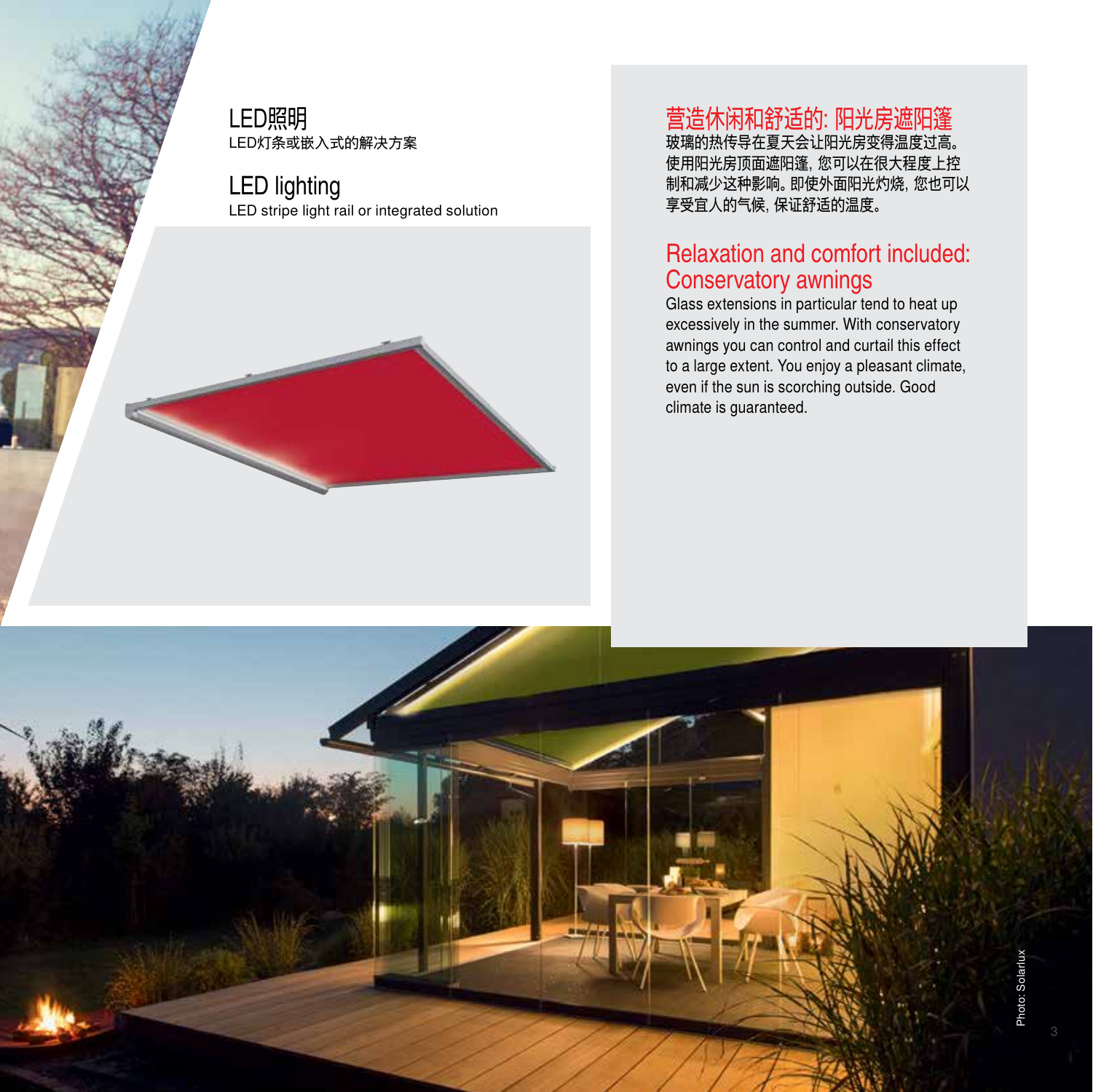LED照明 LED灯条或嵌入式的解决方案

LED lighting LED stripe light rail or integrated solution

#### 营造休闲和舒适的:阳光房遮阳篷

玻璃的热传导在夏天会让阳光房变得温度过高。 使用阳光房顶面遮阳篷,您可以在很大程度上控 制和减少这种影响。即使外面阳光灼烧,您也可以 享受宜人的气候,保证舒适的温度。

#### Relaxation and comfort included: Conservatory awnings

Glass extensions in particular tend to heat up excessively in the summer. With conservatory awnings you can control and curtail this effect to a large extent. You enjoy a pleasant climate, even if the sun is scorching outside. Good climate is guaranteed.

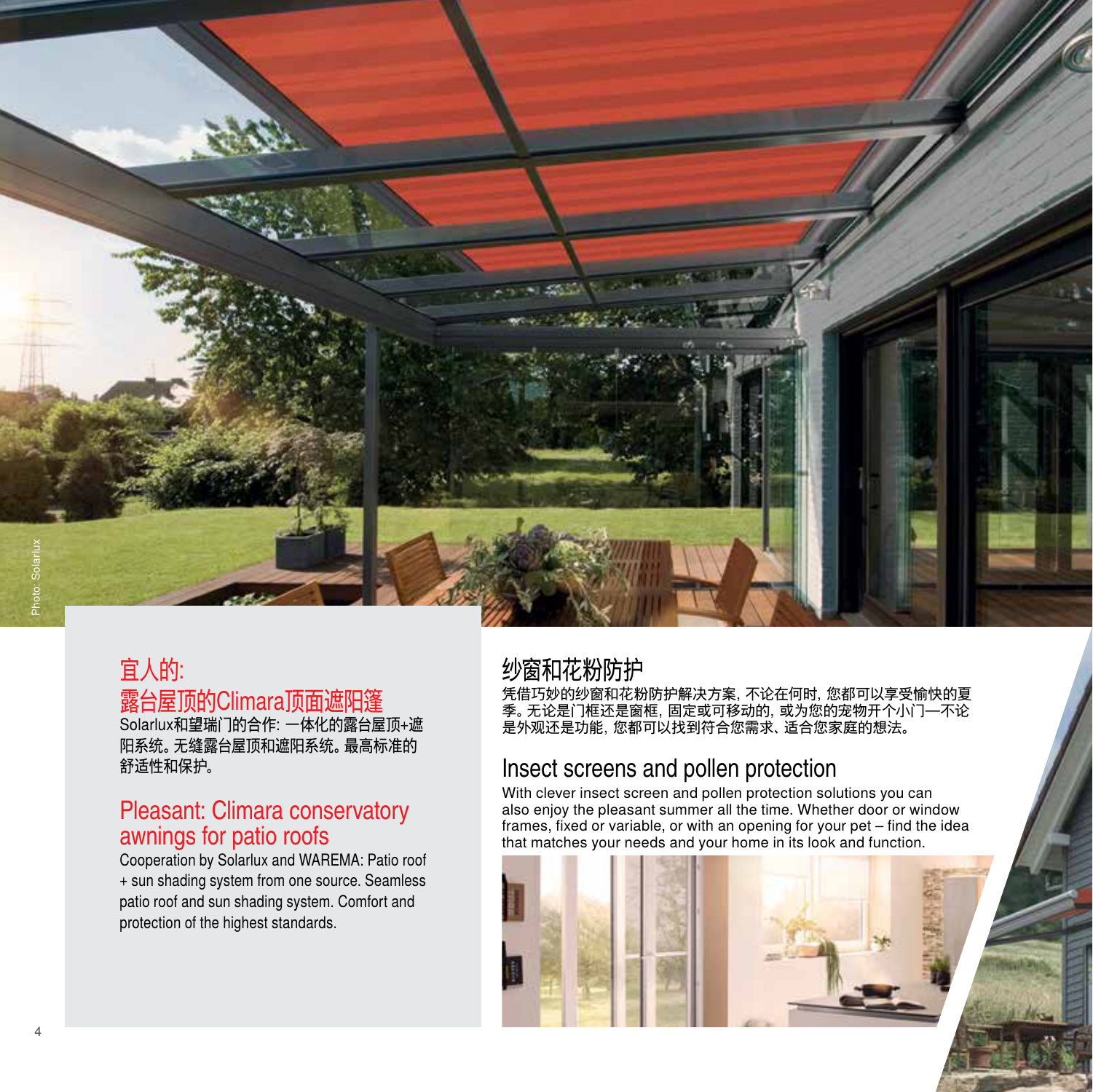

## 宜人的: 露台屋顶的Climara顶面遮阳篷

Solarlux和望瑞门的合作:一体化的露台屋顶+遮 阳系统。无缝露台屋顶和遮阳系统。最高标准的 舒适性和保护。

#### Pleasant: Climara conservatory awnings for patio roofs

Cooperation by Solarlux and WAREMA: Patio roof + sun shading system from one source. Seamless patio roof and sun shading system. Comfort and protection of the highest standards.

#### 纱窗和花粉防护

凭借巧妙的纱窗和花粉防护解决方案,不论在何时,您都可以享受愉快的夏 季。无论是门框还是窗框,固定或可移动的,或为您的宠物开个小门—不论 是外观还是功能,您都可以找到符合您需求、适合您家庭的想法。

#### Insect screens and pollen protection

With clever insect screen and pollen protection solutions you can also enjoy the pleasant summer all the time. Whether door or window frames, fixed or variable, or with an opening for your pet – find the idea that matches your needs and your home in its look and function.

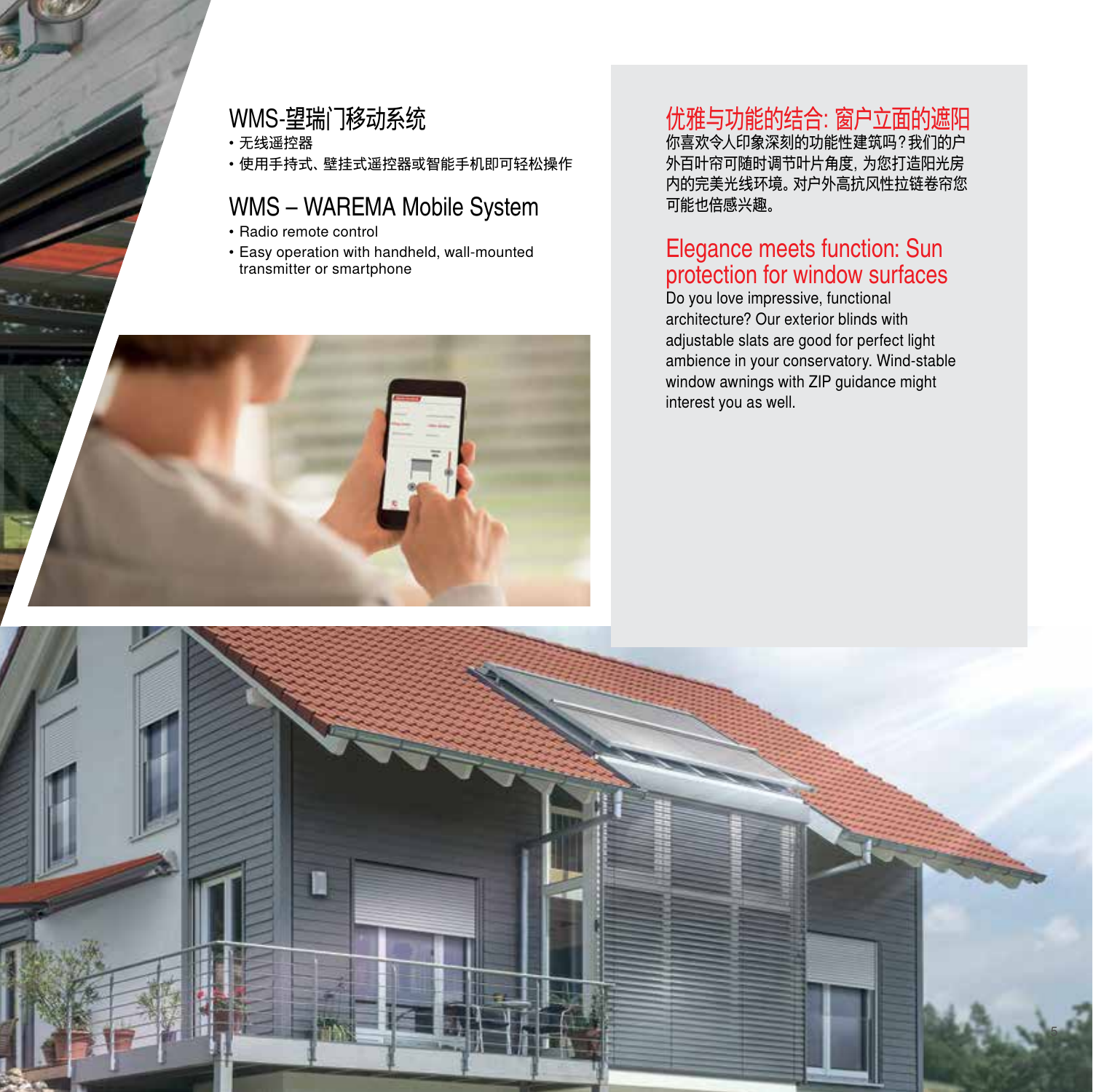#### WMS-望瑞门移动系统

• 无线遥控器

• 使用手持式、壁挂式遥控器或智能手机即可轻松操作

#### WMS – WAREMA Mobile System

- Radio remote control
- Easy operation with handheld, wall-mounted transmitter or smartphone



#### 优雅与功能的结合:窗户立面的遮阳

你喜欢令人印象深刻的功能性建筑吗?我们的户 外百叶帘可随时调节叶片角度,为您打造阳光房 内的完美光线环境。对户外高抗风性拉链卷帘您 可能也倍感兴趣。

#### Elegance meets function: Sun protection for window surfaces

Do you love impressive, functional architecture? Our exterior blinds with adjustable slats are good for perfect light ambience in your conservatory. Wind-stable window awnings with ZIP guidance might interest you as well.

5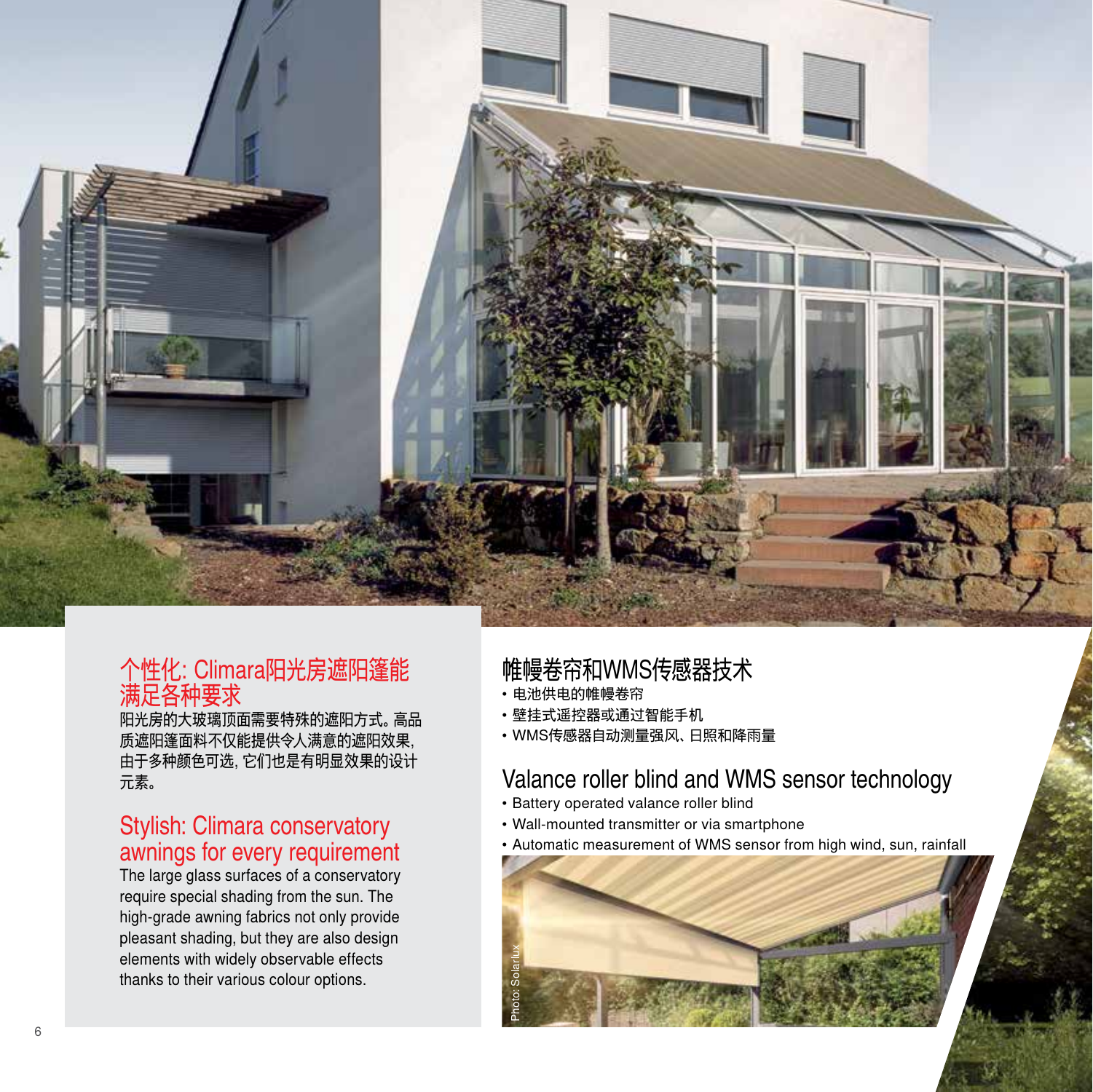

#### 个性化:Climara阳光房遮阳篷能 满足各种要求

阳光房的大玻璃顶面需要特殊的遮阳方式。高品 质遮阳篷面料不仅能提供令人满意的遮阳效果, 由于多种颜色可选,它们也是有明显效果的设计 元素。

#### Stylish: Climara conservatory awnings for every requirement

The large glass surfaces of a conservatory require special shading from the sun. The high-grade awning fabrics not only provide pleasant shading, but they are also design elements with widely observable effects thanks to their various colour options.

### 帷幔卷帘和WMS传感器技术

- 电池供电的帷幔卷帘
- 壁挂式遥控器或通过智能手机
- WMS传感器自动测量强风、日照和降雨量

#### Valance roller blind and WMS sensor technology

- Battery operated valance roller blind
- Wall-mounted transmitter or via smartphone
- Automatic measurement of WMS sensor from high wind, sun, rainfall

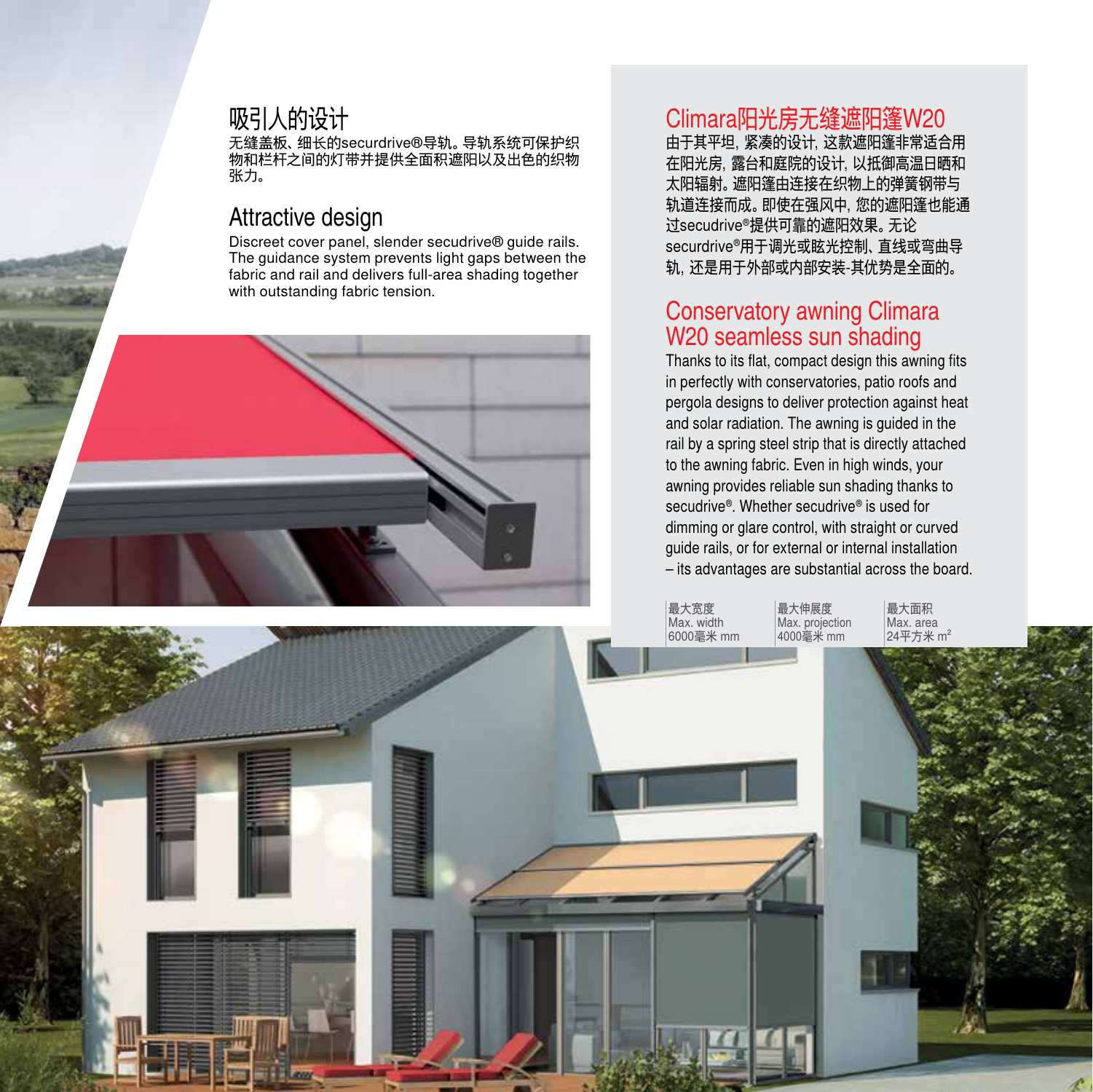#### 吸引人的设计

无缝盖板、细长的securdrive®导轨。导轨系统可保护织 物和栏杆之间的灯带并提供全面积遮阳以及出色的织物 张力。

#### Attractive design

Discreet cover panel, slender secudrive® guide rails. The guidance system prevents light gaps between the fabric and rail and delivers full-area shading together with outstanding fabric tension.

#### Climara阳光房无缝遮阳篷W20

由于其平坦,紧凑的设计,这款遮阳篷非常适合用 在阳光房,露台和庭院的设计,以抵御高温日晒和 太阳辐射。遮阳篷由连接在织物上的弹簧钢带与 轨道连接而成。即使在强风中,您的遮阳篷也能通 过secudrive®提供可靠的遮阳效果。无论 securdrive®用于调光或眩光控制、直线或弯曲导 轨,还是用于外部或内部安装-其优势是全面的。

#### Conservatory awning Climara W<sub>20</sub> seamless sun shading

Thanks to its flat, compact design this awning fits in perfectly with conservatories, patio roofs and pergola designs to deliver protection against heat and solar radiation. The awning is guided in the rail by a spring steel strip that is directly attached to the awning fabric. Even in high winds, your awning provides reliable sun shading thanks to secudrive®. Whether secudrive® is used for dimming or glare control, with straight or curved guide rails, or for external or internal installation – its advantages are substantial across the board.

最大伸展度

4000毫米 mm

最大宽度 Max. width 6000毫米 mm Max. projection 最大面积 Max. area  $24\Pi + 1$ 

7